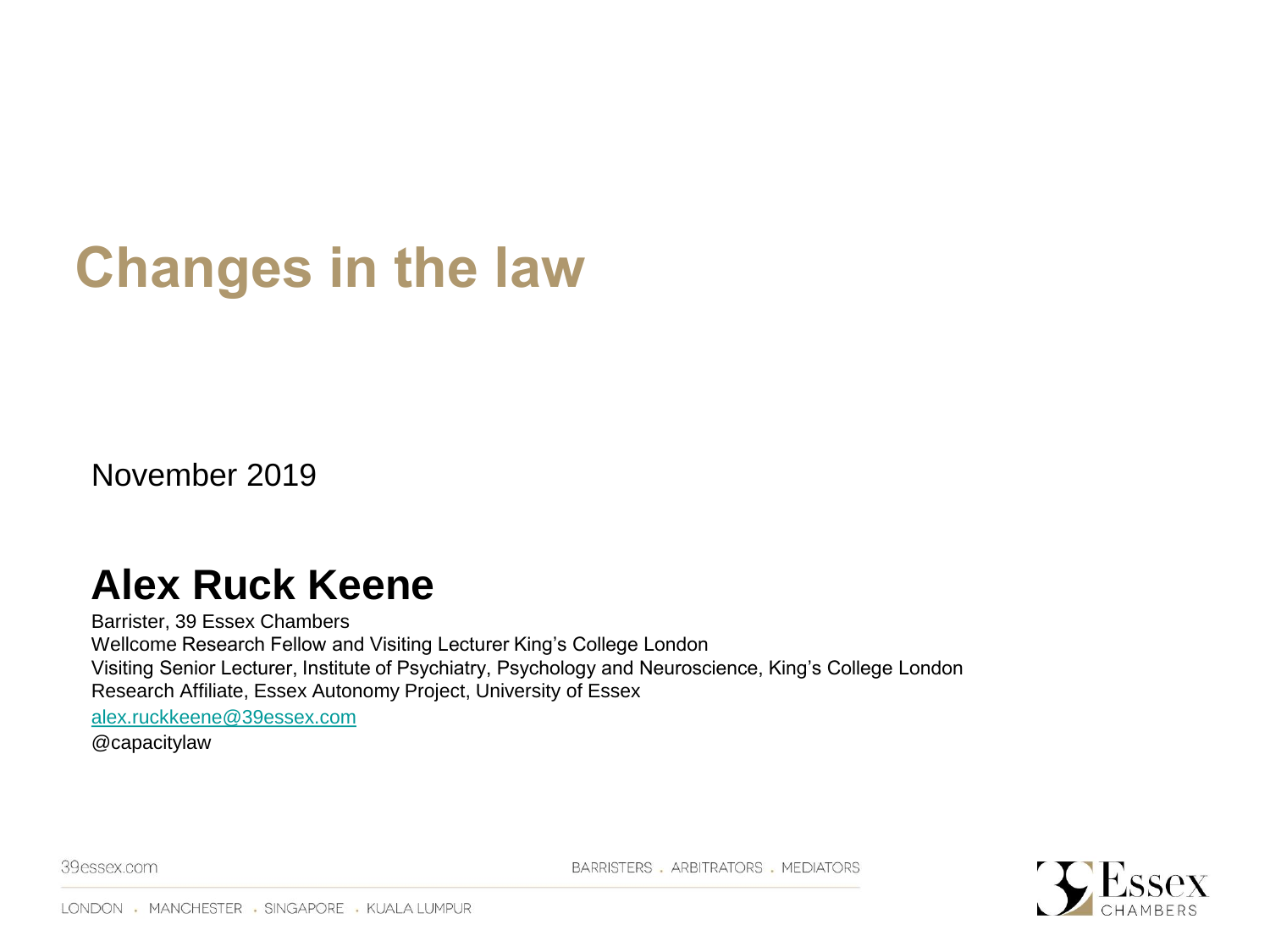#### **Changes in the law**

November 2019

#### **Alex Ruck Keene**

Barrister, 39 Essex Chambers Wellcome Research Fellow and Visiting Lecturer King's College London Visiting Senior Lecturer, Institute of Psychiatry, Psychology and Neuroscience, King's College London Research Affiliate, Essex Autonomy Project, University of Essex [alex.ruckkeene@39essex.com](mailto:alex.ruckkeene@39essex.com) @capacitylaw

39essex.com

BARRISTERS . ARBITRATORS . MEDIATORS

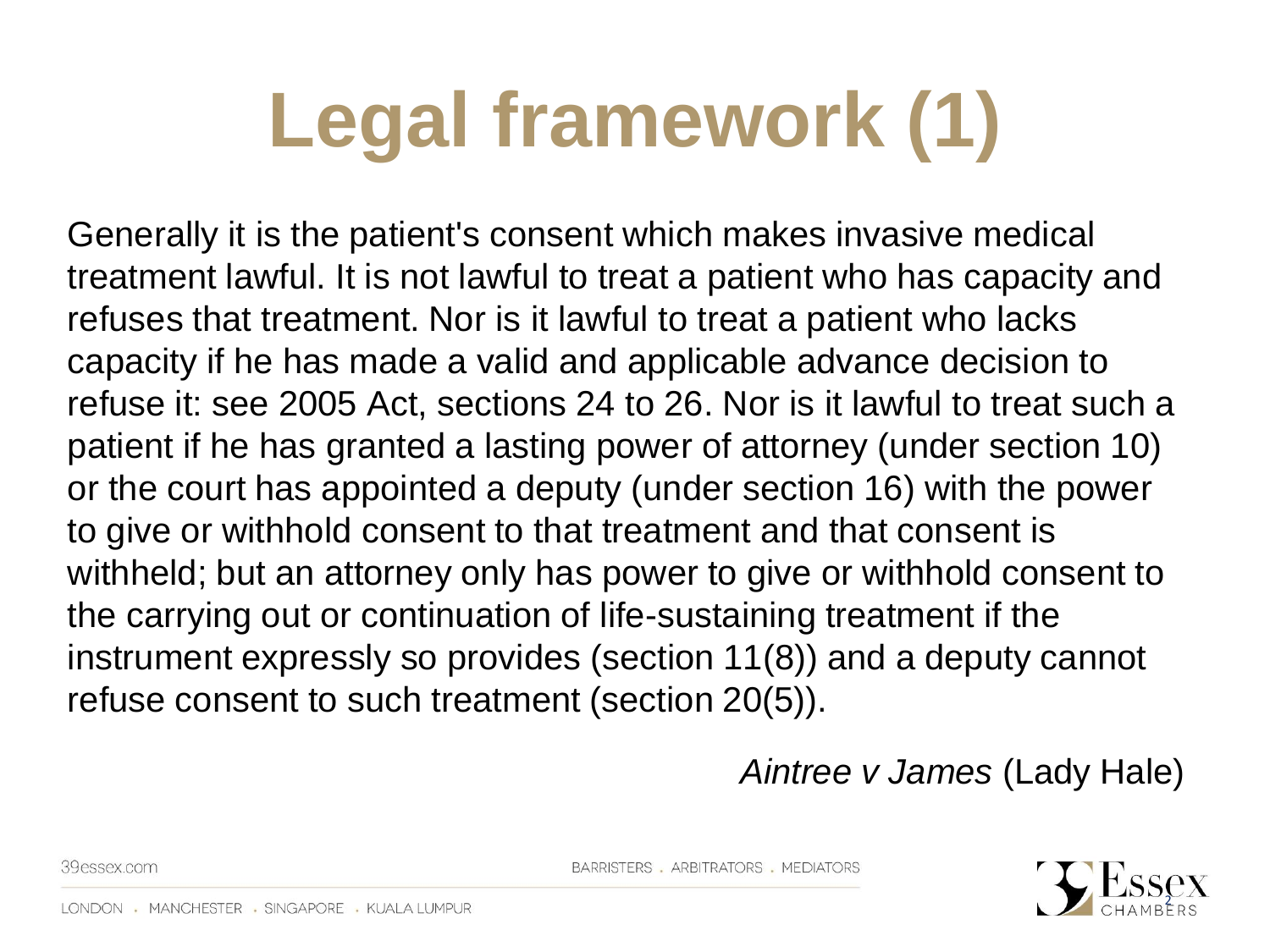# **Legal framework (1)**

Generally it is the patient's consent which makes invasive medical treatment lawful. It is not lawful to treat a patient who has capacity and refuses that treatment. Nor is it lawful to treat a patient who lacks capacity if he has made a valid and applicable advance decision to refuse it: see 2005 Act, sections 24 to 26. Nor is it lawful to treat such a patient if he has granted a lasting power of attorney (under section 10) or the court has appointed a deputy (under section 16) with the power to give or withhold consent to that treatment and that consent is withheld; but an attorney only has power to give or withhold consent to the carrying out or continuation of life-sustaining treatment if the instrument expressly so provides (section 11(8)) and a deputy cannot refuse consent to such treatment (section 20(5)).

*Aintree v James* (Lady Hale)

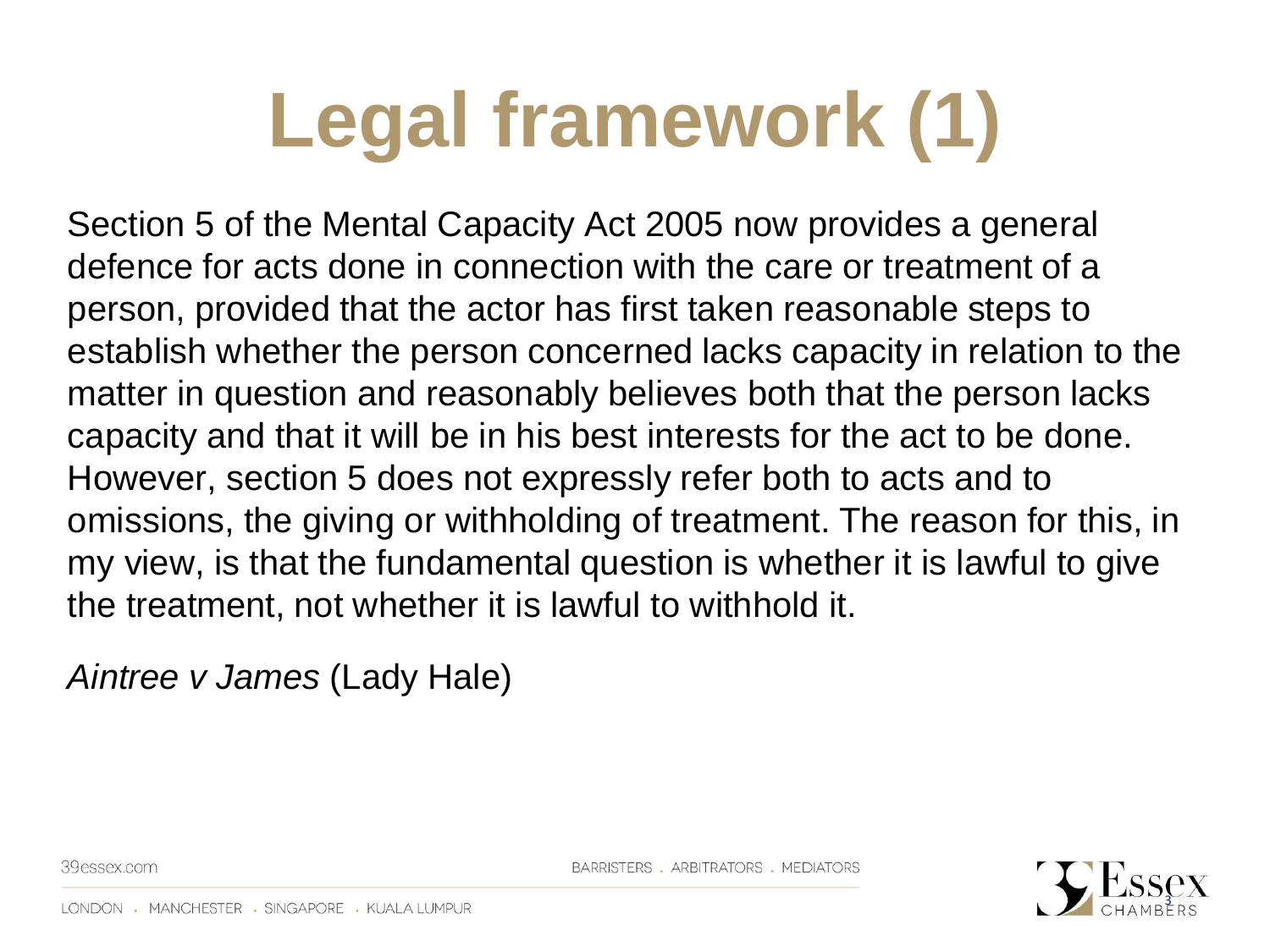# **Legal framework (1)**

Section 5 of the Mental Capacity Act 2005 now provides a general defence for acts done in connection with the care or treatment of a person, provided that the actor has first taken reasonable steps to establish whether the person concerned lacks capacity in relation to the matter in question and reasonably believes both that the person lacks capacity and that it will be in his best interests for the act to be done. However, section 5 does not expressly refer both to acts and to omissions, the giving or withholding of treatment. The reason for this, in my view, is that the fundamental question is whether it is lawful to give the treatment, not whether it is lawful to withhold it.

*Aintree v James* (Lady Hale)

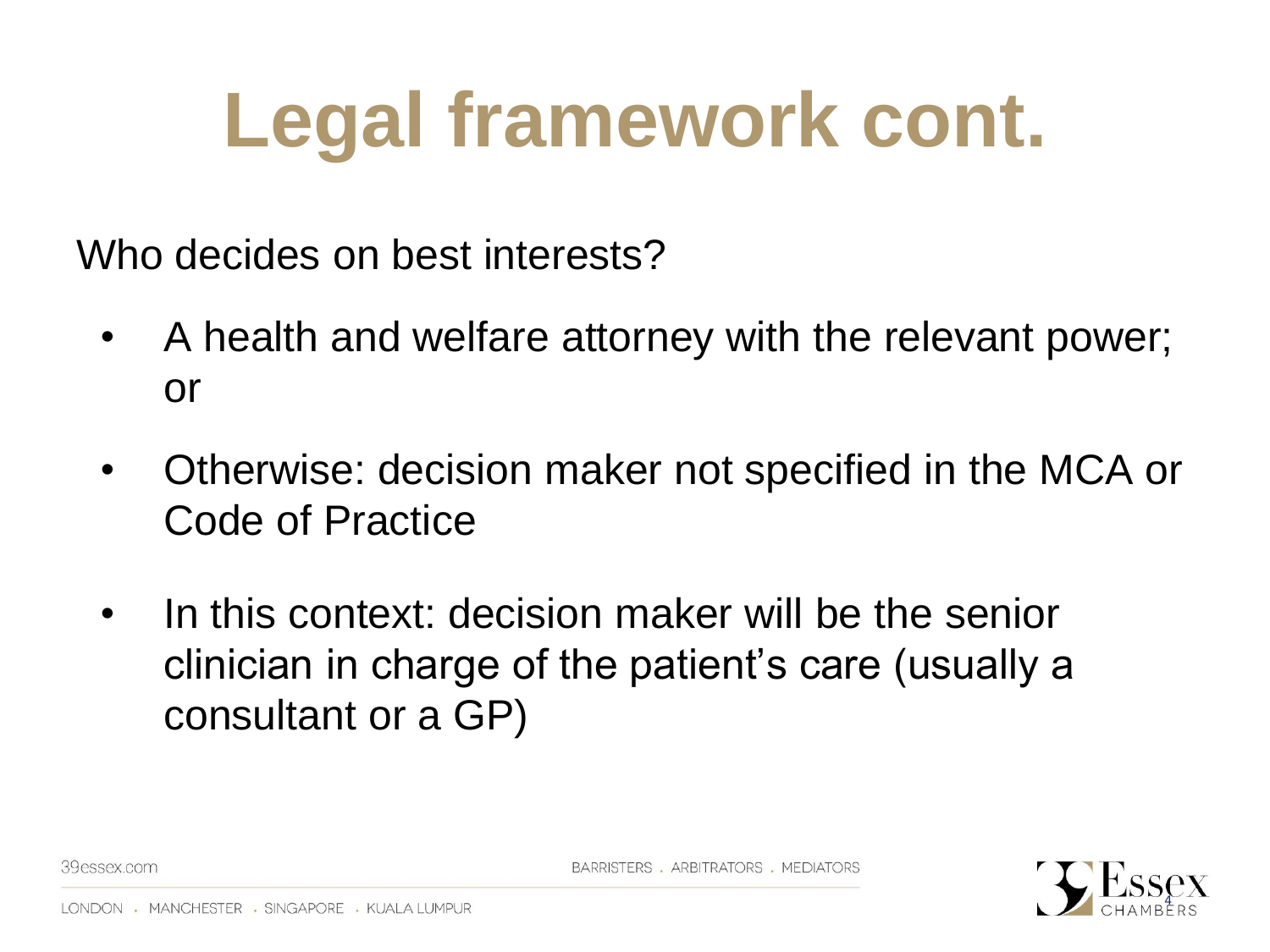#### **Legal framework cont.**

Who decides on best interests?

- A health and welfare attorney with the relevant power; or
- Otherwise: decision maker not specified in the MCA or Code of Practice
- In this context: decision maker will be the senior clinician in charge of the patient's care (usually a consultant or a GP)

4

39essex.com

BARRISTERS . ARBITRATORS . MEDIATORS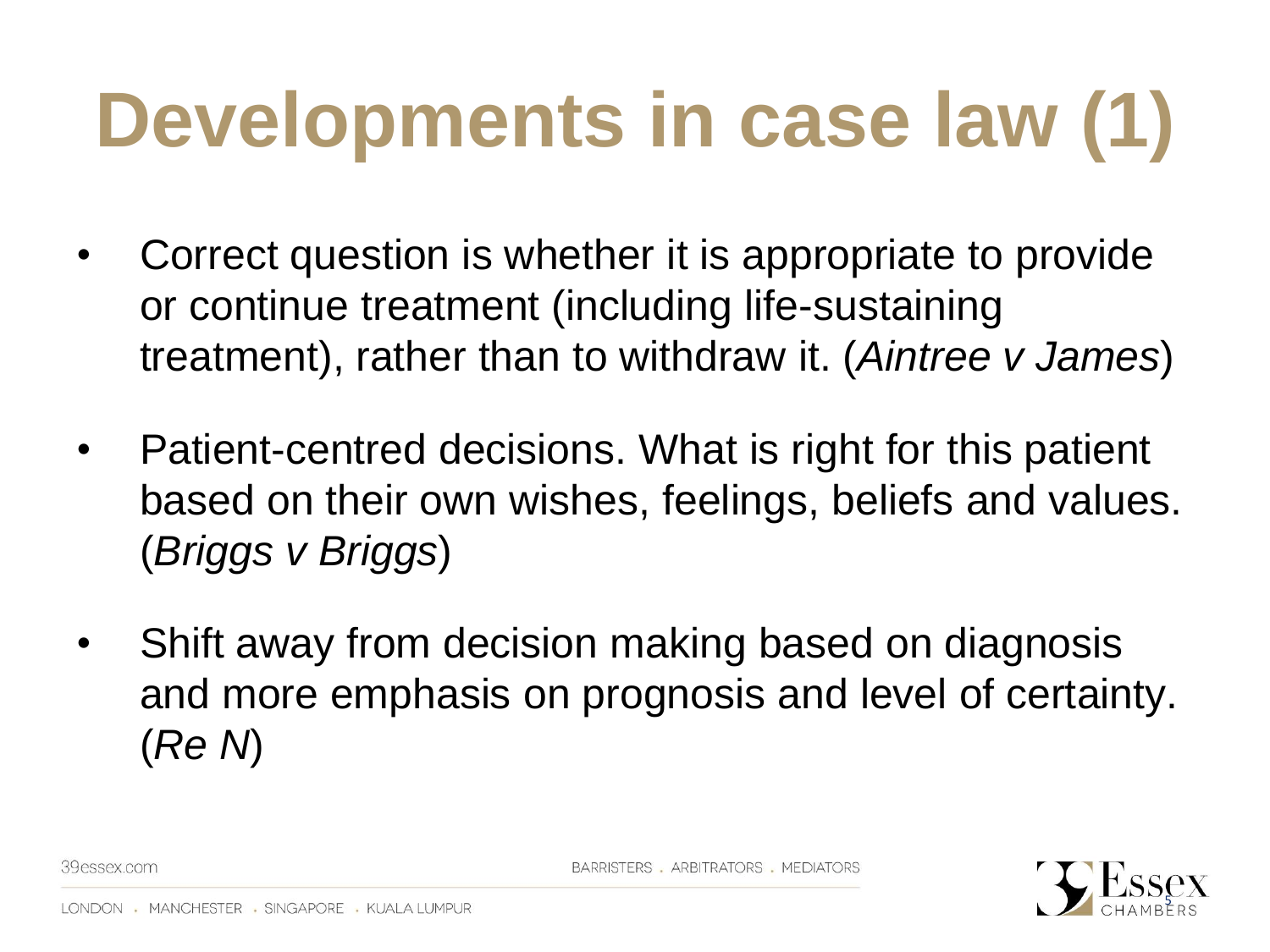# **Developments in case law (1)**

- Correct question is whether it is appropriate to provide or continue treatment (including life-sustaining treatment), rather than to withdraw it. (*Aintree v James*)
- Patient-centred decisions. What is right for this patient based on their own wishes, feelings, beliefs and values. (*Briggs v Briggs*)
- Shift away from decision making based on diagnosis and more emphasis on prognosis and level of certainty. (*Re N*)

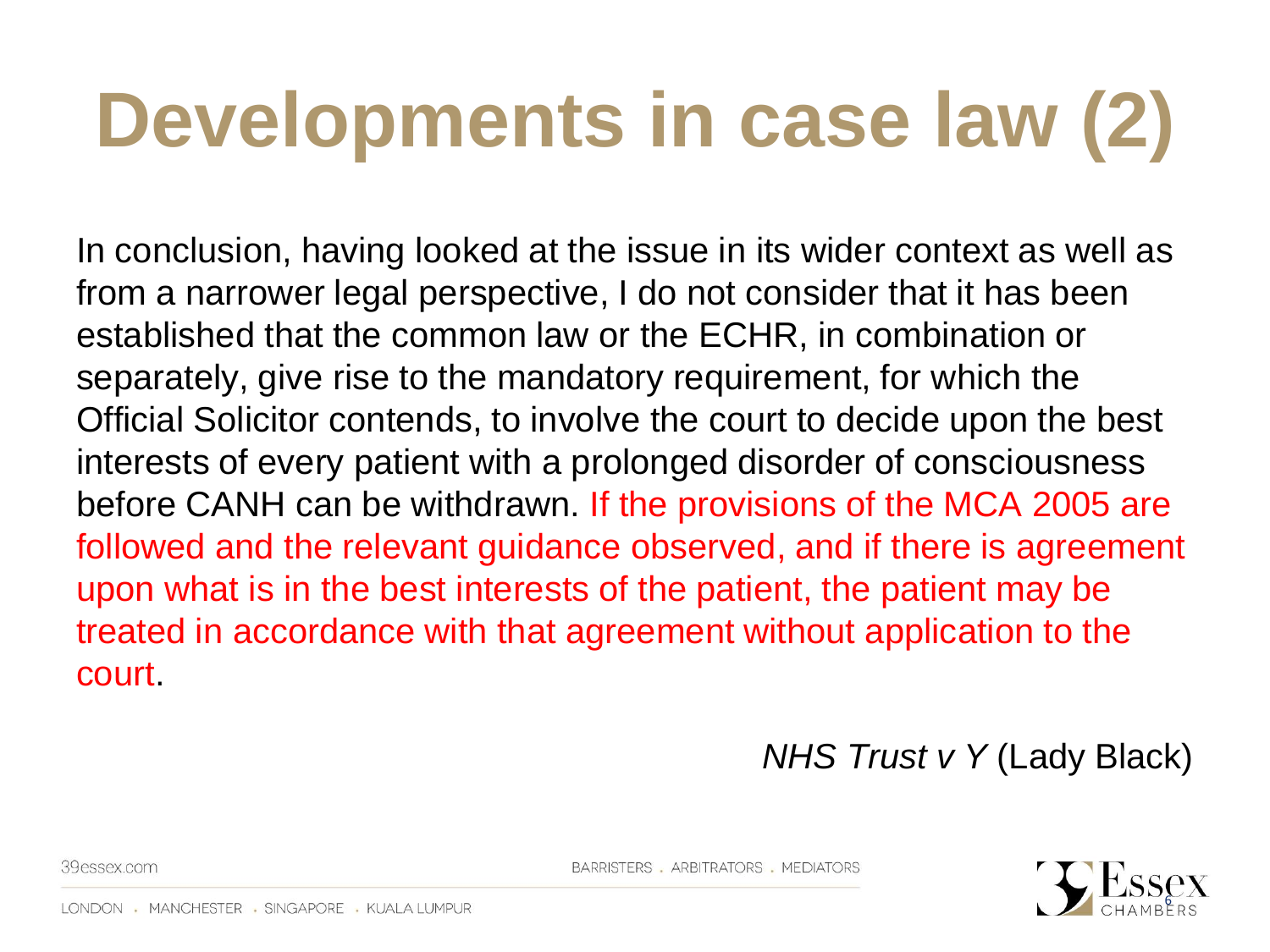### **Developments in case law (2)**

In conclusion, having looked at the issue in its wider context as well as from a narrower legal perspective, I do not consider that it has been established that the common law or the ECHR, in combination or separately, give rise to the mandatory requirement, for which the Official Solicitor contends, to involve the court to decide upon the best interests of every patient with a prolonged disorder of consciousness before CANH can be withdrawn. If the provisions of the MCA 2005 are followed and the relevant guidance observed, and if there is agreement upon what is in the best interests of the patient, the patient may be treated in accordance with that agreement without application to the court.

*NHS Trust v Y* (Lady Black)

39essex.com

BARRISTERS . ARBITRATORS . MEDIATORS

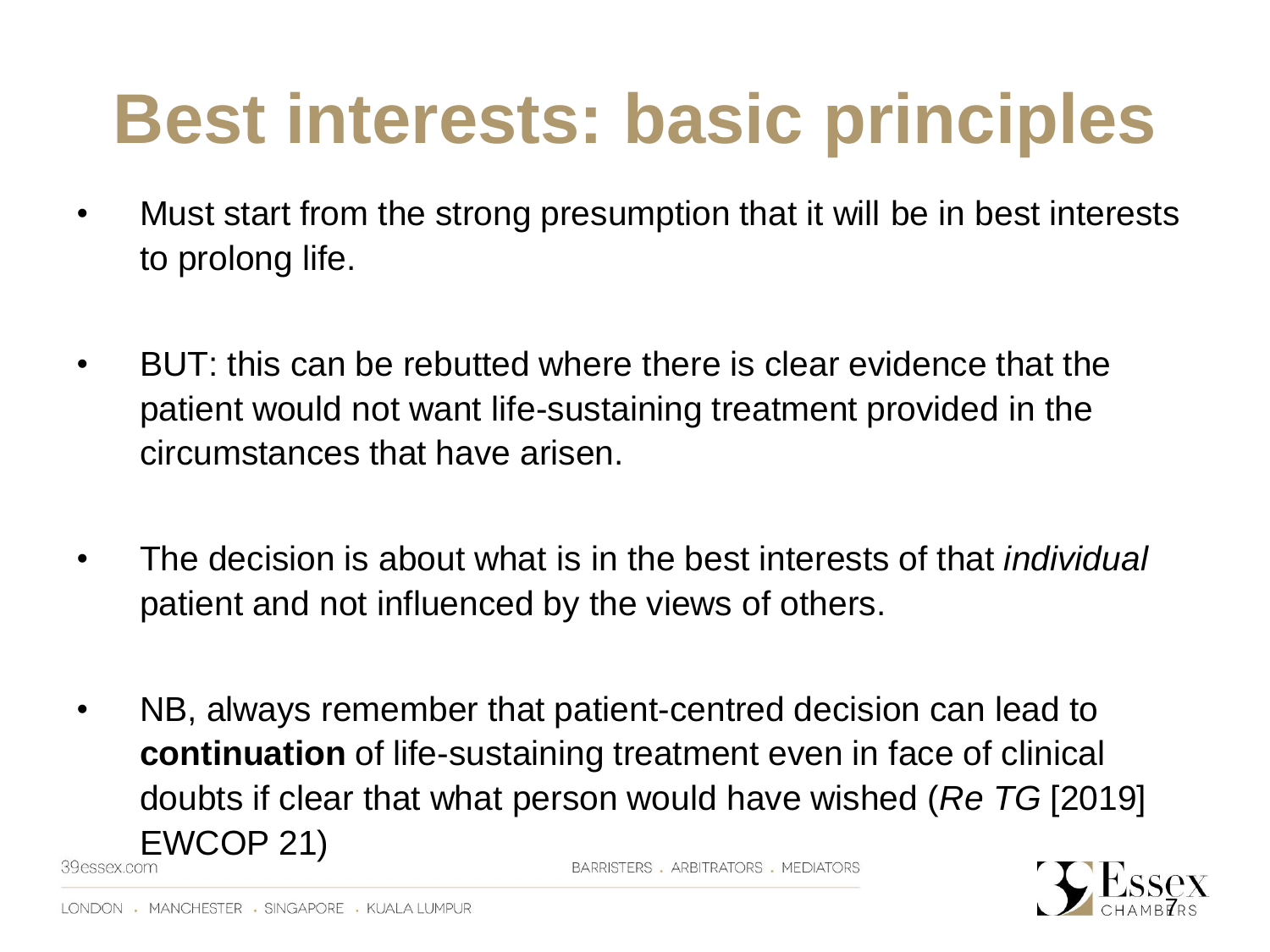#### **Best interests: basic principles**

- Must start from the strong presumption that it will be in best interests to prolong life.
- BUT: this can be rebutted where there is clear evidence that the patient would not want life-sustaining treatment provided in the circumstances that have arisen.
- The decision is about what is in the best interests of that *individual*  patient and not influenced by the views of others.
- NB, always remember that patient-centred decision can lead to **continuation** of life-sustaining treatment even in face of clinical doubts if clear that what person would have wished (*Re TG* [2019]  $EWCOP$  21)

BARRISTERS, ARBITRATORS, MEDIATORS

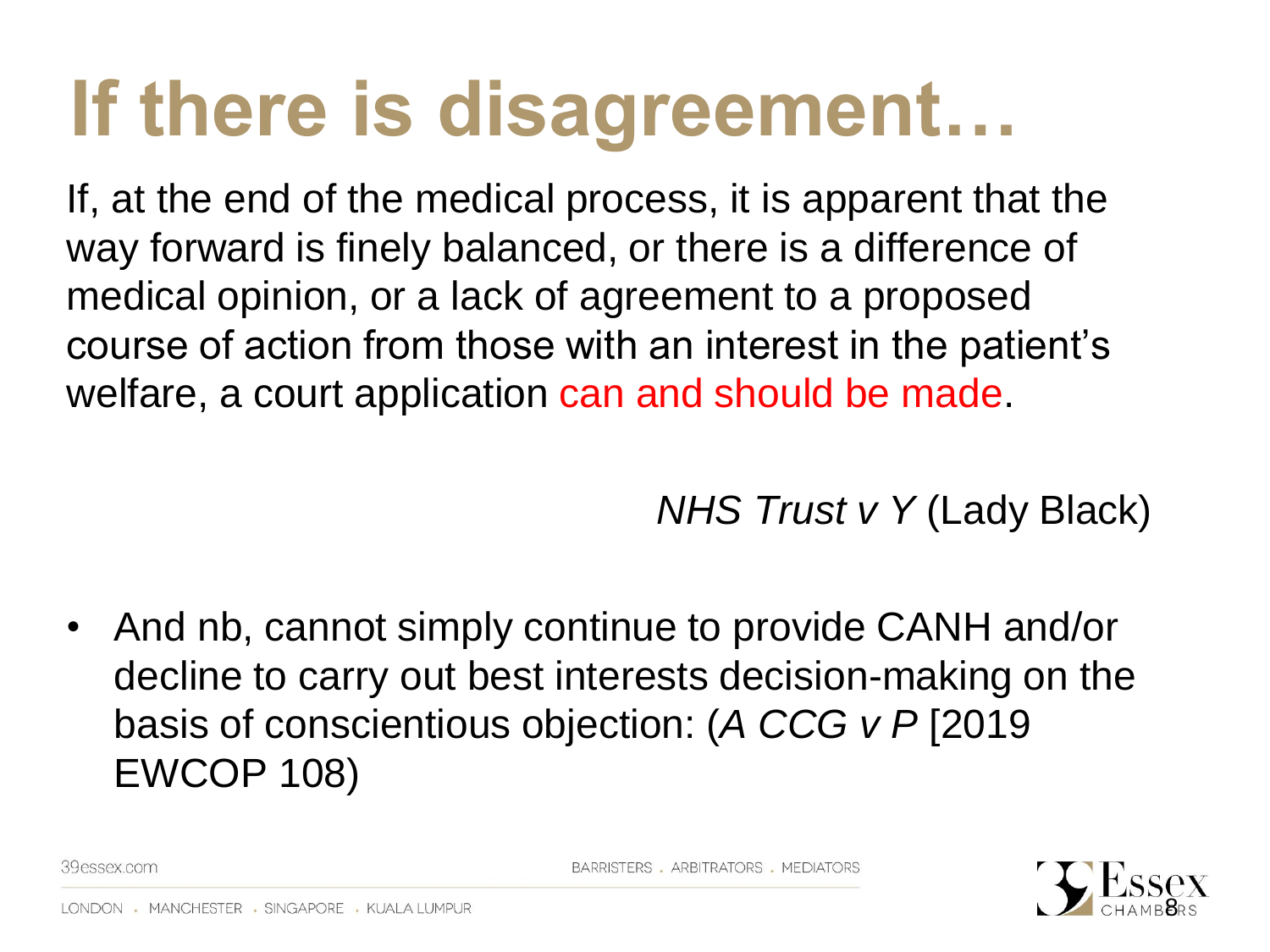#### **If there is disagreement…**

If, at the end of the medical process, it is apparent that the way forward is finely balanced, or there is a difference of medical opinion, or a lack of agreement to a proposed course of action from those with an interest in the patient's welfare, a court application can and should be made.

*NHS Trust v Y* (Lady Black)

• And nb, cannot simply continue to provide CANH and/or decline to carry out best interests decision-making on the basis of conscientious objection: (*A CCG v P* [2019 EWCOP 108)

8